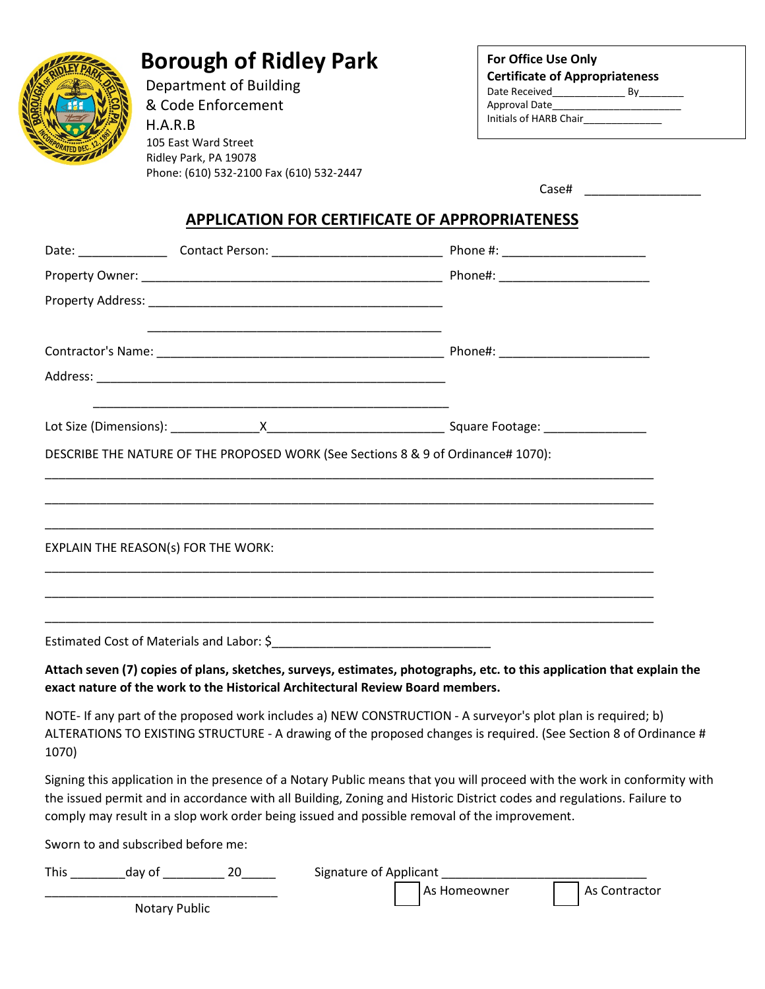

# **Borough of Ridley Park**

 Department of Building & Code Enforcement H.A.R.B 105 East Ward Street Ridley Park, PA 19078 Phone: (610) 532-2100 Fax (610) 532-2447

| <b>For Office Use Only</b>            |    |  |  |  |
|---------------------------------------|----|--|--|--|
| <b>Certificate of Appropriateness</b> |    |  |  |  |
| Date Received                         | Кv |  |  |  |
| Approval Date                         |    |  |  |  |
| Initials of HARB Chair                |    |  |  |  |

| Case# |  |  |
|-------|--|--|
|-------|--|--|

# **APPLICATION FOR CERTIFICATE OF APPROPRIATENESS**

|                                                                                | DESCRIBE THE NATURE OF THE PROPOSED WORK (See Sections 8 & 9 of Ordinance# 1070):                                                                                                                                                                                                                                                                 |
|--------------------------------------------------------------------------------|---------------------------------------------------------------------------------------------------------------------------------------------------------------------------------------------------------------------------------------------------------------------------------------------------------------------------------------------------|
|                                                                                |                                                                                                                                                                                                                                                                                                                                                   |
|                                                                                |                                                                                                                                                                                                                                                                                                                                                   |
| EXPLAIN THE REASON(s) FOR THE WORK:                                            |                                                                                                                                                                                                                                                                                                                                                   |
|                                                                                |                                                                                                                                                                                                                                                                                                                                                   |
|                                                                                |                                                                                                                                                                                                                                                                                                                                                   |
| exact nature of the work to the Historical Architectural Review Board members. | Attach seven (7) copies of plans, sketches, surveys, estimates, photographs, etc. to this application that explain the                                                                                                                                                                                                                            |
| 1070)                                                                          | NOTE- If any part of the proposed work includes a) NEW CONSTRUCTION - A surveyor's plot plan is required; b)<br>ALTERATIONS TO EXISTING STRUCTURE - A drawing of the proposed changes is required. (See Section 8 of Ordinance #                                                                                                                  |
|                                                                                | Signing this application in the presence of a Notary Public means that you will proceed with the work in conformity with<br>the issued permit and in accordance with all Building, Zoning and Historic District codes and regulations. Failure to<br>comply may result in a slop work order being issued and possible removal of the improvement. |
| Sworn to and subscribed before me:                                             |                                                                                                                                                                                                                                                                                                                                                   |

| <b>This</b> | dav of        | 20 | Signature of Applicant |                |                 |
|-------------|---------------|----|------------------------|----------------|-----------------|
|             |               |    |                        | l As Homeowner | ' As Contractor |
|             | Notary Public |    |                        |                |                 |